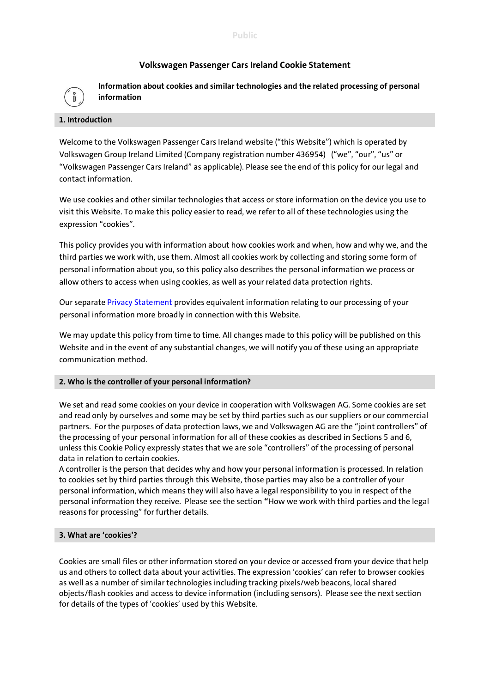## **Volkswagen Passenger Cars Ireland Cookie Statement**



**Information about cookies and similar technologies and the related processing of personal information** 

#### **1. Introduction**

Welcome to the Volkswagen Passenger Cars Ireland website ("this Website") which is operated by Volkswagen Group Ireland Limited (Company registration number 436954) ("we", "our", "us" or "Volkswagen Passenger Cars Ireland" as applicable). Please see the end of this policy for our legal and contact information.

We use cookies and other similar technologies that access or store information on the device you use to visit this Website. To make this policy easier to read, we refer to all of these technologies using the expression "cookies".

This policy provides you with information about how cookies work and when, how and why we, and the third parties we work with, use them. Almost all cookies work by collecting and storing some form of personal information about you, so this policy also describes the personal information we process or allow others to access when using cookies, as well as your related data protection rights.

Our separat[e Privacy Statement](https://www.volkswagen.ie/en/privacy-statement.html) provides equivalent information relating to our processing of your personal information more broadly in connection with this Website.

We may update this policy from time to time. All changes made to this policy will be published on this Website and in the event of any substantial changes, we will notify you of these using an appropriate communication method.

## **2. Who is the controller of your personal information?**

We set and read some cookies on your device in cooperation with Volkswagen AG. Some cookies are set and read only by ourselves and some may be set by third parties such as our suppliers or our commercial partners. For the purposes of data protection laws, we and Volkswagen AG are the "joint controllers" of the processing of your personal information for all of these cookies as described in Sections 5 and 6, unless this Cookie Policy expressly states that we are sole "controllers" of the processing of personal data in relation to certain cookies.

A controller is the person that decides why and how your personal information is processed. In relation to cookies set by third parties through this Website, those parties may also be a controller of your personal information, which means they will also have a legal responsibility to you in respect of the personal information they receive. Please see the section **"**How we work with third parties and the legal reasons for processing" for further details.

## **3. What are 'cookies'?**

Cookies are small files or other information stored on your device or accessed from your device that help us and others to collect data about your activities. The expression 'cookies' can refer to browser cookies as well as a number of similar technologies including tracking pixels/web beacons, local shared objects/flash cookies and access to device information (including sensors). Please see the next section for details of the types of 'cookies' used by this Website.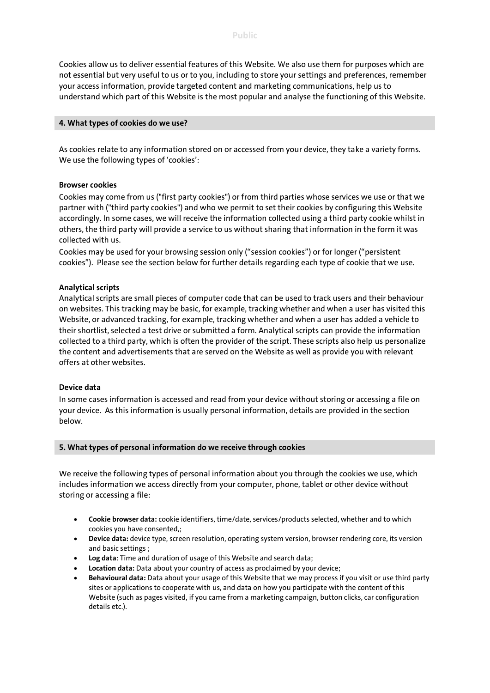Cookies allow us to deliver essential features of this Website. We also use them for purposes which are not essential but very useful to us or to you, including to store your settings and preferences, remember your access information, provide targeted content and marketing communications, help us to understand which part of this Website is the most popular and analyse the functioning of this Website.

#### **4. What types of cookies do we use?**

As cookies relate to any information stored on or accessed from your device, they take a variety forms. We use the following types of 'cookies':

#### **Browser cookies**

Cookies may come from us ("first party cookies") or from third parties whose services we use or that we partner with ("third party cookies") and who we permit to set their cookies by configuring this Website accordingly. In some cases, we will receive the information collected using a third party cookie whilst in others, the third party will provide a service to us without sharing that information in the form it was collected with us.

Cookies may be used for your browsing session only ("session cookies") or for longer ("persistent cookies"). Please see the section below for further details regarding each type of cookie that we use.

## **Analytical scripts**

Analytical scripts are small pieces of computer code that can be used to track users and their behaviour on websites. This tracking may be basic, for example, tracking whether and when a user has visited this Website, or advanced tracking, for example, tracking whether and when a user has added a vehicle to their shortlist, selected a test drive or submitted a form. Analytical scripts can provide the information collected to a third party, which is often the provider of the script. These scripts also help us personalize the content and advertisements that are served on the Website as well as provide you with relevant offers at other websites.

#### **Device data**

In some cases information is accessed and read from your device without storing or accessing a file on your device. As this information is usually personal information, details are provided in the section below.

#### **5. What types of personal information do we receive through cookies**

We receive the following types of personal information about you through the cookies we use, which includes information we access directly from your computer, phone, tablet or other device without storing or accessing a file:

- **Cookie browser data:** cookie identifiers, time/date, services/products selected, whether and to which cookies you have consented,;
- **Device data:** device type, screen resolution, operating system version, browser rendering core, its version and basic settings ;
- **Log data**: Time and duration of usage of this Website and search data;
- **Location data:** Data about your country of access as proclaimed by your device;
- **Behavioural data:** Data about your usage of this Website that we may process if you visit or use third party sites or applications to cooperate with us, and data on how you participate with the content of this Website (such as pages visited, if you came from a marketing campaign, button clicks, car configuration details etc.).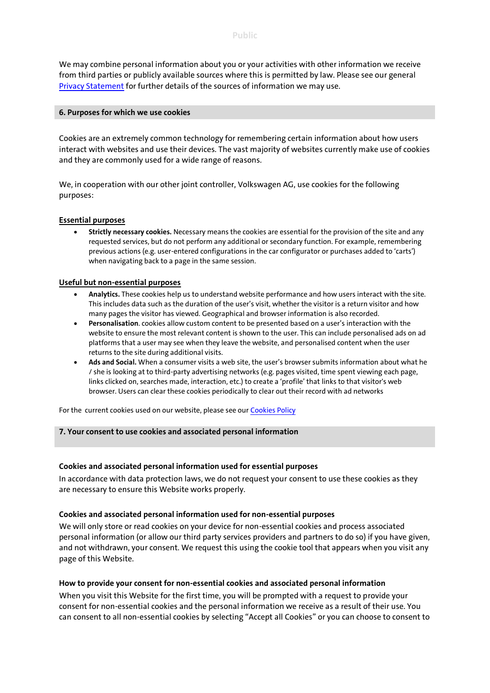We may combine personal information about you or your activities with other information we receive from third parties or publicly available sources where this is permitted by law. Please see our general [Privacy Statement](https://www.volkswagen.ie/en/privacy-statement.html) for further details of the sources of information we may use.

#### **6. Purposes for which we use cookies**

Cookies are an extremely common technology for remembering certain information about how users interact with websites and use their devices. The vast majority of websites currently make use of cookies and they are commonly used for a wide range of reasons.

We, in cooperation with our other joint controller, Volkswagen AG, use cookies for the following purposes:

## **Essential purposes**

 **Strictly necessary cookies.** Necessary means the cookies are essential for the provision of the site and any requested services, but do not perform any additional or secondary function. For example, remembering previous actions (e.g. user-entered configurations in the car configurator or purchases added to 'carts') when navigating back to a page in the same session.

## **Useful but non-essential purposes**

- **Analytics.** These cookies help us to understand website performance and how users interact with the site. This includes data such as the duration of the user's visit, whether the visitor is a return visitor and how many pages the visitor has viewed. Geographical and browser information is also recorded.
- **Personalisation**. cookies allow custom content to be presented based on a user's interaction with the website to ensure the most relevant content is shown to the user. This can include personalised ads on ad platforms that a user may see when they leave the website, and personalised content when the user returns to the site during additional visits.
- **Ads and Social.** When a consumer visits a web site, the user's browser submits information about what he / she is looking at to third-party advertising networks (e.g. pages visited, time spent viewing each page, links clicked on, searches made, interaction, etc.) to create a 'profile' that links to that visitor's web browser. Users can clear these cookies periodically to clear out their record with ad networks

For the current cookies used on our website, please see ou[r Cookies Policy](https://www.volkswagen.ie/en/cookies-policy.html)

#### **7. Your consent to use cookies and associated personal information**

## **Cookies and associated personal information used for essential purposes**

In accordance with data protection laws, we do not request your consent to use these cookies as they are necessary to ensure this Website works properly.

#### **Cookies and associated personal information used for non-essential purposes**

We will only store or read cookies on your device for non-essential cookies and process associated personal information (or allow our third party services providers and partners to do so) if you have given, and not withdrawn, your consent. We request this using the cookie tool that appears when you visit any page of this Website.

## **How to provide your consent for non-essential cookies and associated personal information**

When you visit this Website for the first time, you will be prompted with a request to provide your consent for non-essential cookies and the personal information we receive as a result of their use. You can consent to all non-essential cookies by selecting "Accept all Cookies" or you can choose to consent to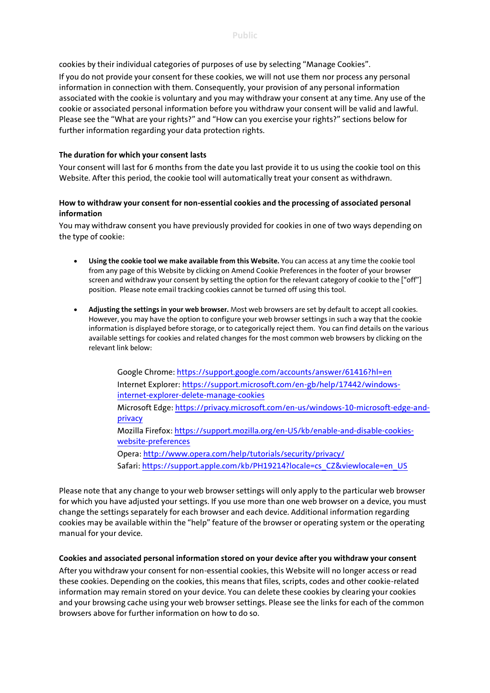cookies by their individual categories of purposes of use by selecting "Manage Cookies".

If you do not provide your consent for these cookies, we will not use them nor process any personal information in connection with them. Consequently, your provision of any personal information associated with the cookie is voluntary and you may withdraw your consent at any time. Any use of the cookie or associated personal information before you withdraw your consent will be valid and lawful. Please see the "What are your rights?" and "How can you exercise your rights?" sections below for further information regarding your data protection rights.

## **The duration for which your consent lasts**

Your consent will last for 6 months from the date you last provide it to us using the cookie tool on this Website. After this period, the cookie tool will automatically treat your consent as withdrawn.

## **How to withdraw your consent for non-essential cookies and the processing of associated personal information**

You may withdraw consent you have previously provided for cookies in one of two ways depending on the type of cookie:

- **Using the cookie tool we make available from this Website.** You can access at any time the cookie tool from any page of this Website by clicking on Amend Cookie Preferences in the footer of your browser screen and withdraw your consent by setting the option for the relevant category of cookie to the ["off"] position. Please note email tracking cookies cannot be turned off using this tool.
- **Adjusting the settings in your web browser.** Most web browsers are set by default to accept all cookies. However, you may have the option to configure your web browser settings in such a way that the cookie information is displayed before storage, or to categorically reject them. You can find details on the various available settings for cookies and related changes for the most common web browsers by clicking on the relevant link below:

Google Chrome: <https://support.google.com/accounts/answer/61416?hl=en> Internet Explorer: [https://support.microsoft.com/en-gb/help/17442/windows](https://support.microsoft.com/en-gb/help/17442/windows-internet-explorer-delete-manage-cookies)[internet-explorer-delete-manage-cookies](https://support.microsoft.com/en-gb/help/17442/windows-internet-explorer-delete-manage-cookies) Microsoft Edge: [https://privacy.microsoft.com/en-us/windows-10-microsoft-edge-and](https://privacy.microsoft.com/en-us/windows-10-microsoft-edge-and-privacy)[privacy](https://privacy.microsoft.com/en-us/windows-10-microsoft-edge-and-privacy) Mozilla Firefox: [https://support.mozilla.org/en-US/kb/enable-and-disable-cookies](https://support.mozilla.org/en-US/kb/enable-and-disable-cookies-website-preferences)[website-preferences](https://support.mozilla.org/en-US/kb/enable-and-disable-cookies-website-preferences) Opera: <http://www.opera.com/help/tutorials/security/privacy/> Safari: [https://support.apple.com/kb/PH19214?locale=cs\\_CZ&viewlocale=en\\_US](https://support.apple.com/kb/PH19214?locale=cs_CZ&viewlocale=en_US)

Please note that any change to your web browser settings will only apply to the particular web browser for which you have adjusted your settings. If you use more than one web browser on a device, you must change the settings separately for each browser and each device. Additional information regarding cookies may be available within the "help" feature of the browser or operating system or the operating manual for your device.

## **Cookies and associated personal information stored on your device after you withdraw your consent**

After you withdraw your consent for non-essential cookies, this Website will no longer access or read these cookies. Depending on the cookies, this means that files, scripts, codes and other cookie-related information may remain stored on your device. You can delete these cookies by clearing your cookies and your browsing cache using your web browser settings. Please see the links for each of the common browsers above for further information on how to do so.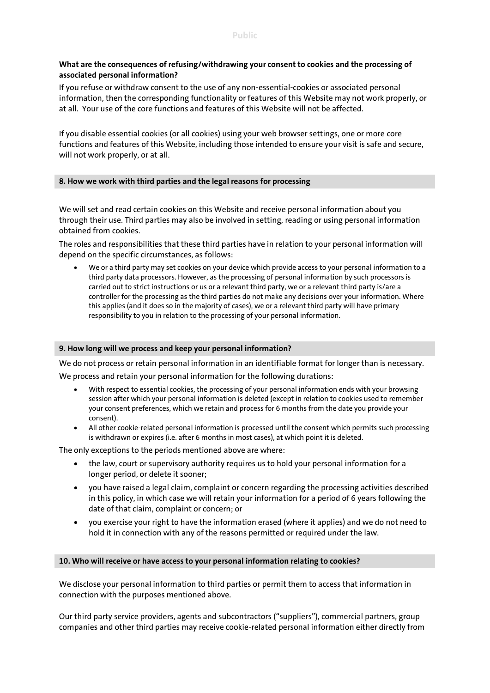## **What are the consequences of refusing/withdrawing your consent to cookies and the processing of associated personal information?**

If you refuse or withdraw consent to the use of any non-essential-cookies or associated personal information, then the corresponding functionality or features of this Website may not work properly, or at all. Your use of the core functions and features of this Website will not be affected.

If you disable essential cookies (or all cookies) using your web browser settings, one or more core functions and features of this Website, including those intended to ensure your visit is safe and secure, will not work properly, or at all.

## **8. How we work with third parties and the legal reasons for processing**

We will set and read certain cookies on this Website and receive personal information about you through their use. Third parties may also be involved in setting, reading or using personal information obtained from cookies.

The roles and responsibilities that these third parties have in relation to your personal information will depend on the specific circumstances, as follows:

 We or a third party may set cookies on your device which provide access to your personal information to a third party data processors. However, as the processing of personal information by such processors is carried out to strict instructions or us or a relevant third party, we or a relevant third party is/are a controller for the processing as the third parties do not make any decisions over your information. Where this applies (and it does so in the majority of cases), we or a relevant third party will have primary responsibility to you in relation to the processing of your personal information.

## **9. How long will we process and keep your personal information?**

We do not process or retain personal information in an identifiable format for longer than is necessary. We process and retain your personal information for the following durations:

- With respect to essential cookies, the processing of your personal information ends with your browsing session after which your personal information is deleted (except in relation to cookies used to remember your consent preferences, which we retain and process for 6 months from the date you provide your consent).
- All other cookie-related personal information is processed until the consent which permits such processing is withdrawn or expires (i.e. after 6 months in most cases), at which point it is deleted.

The only exceptions to the periods mentioned above are where:

- the law, court or supervisory authority requires us to hold your personal information for a longer period, or delete it sooner;
- you have raised a legal claim, complaint or concern regarding the processing activities described in this policy, in which case we will retain your information for a period of 6 years following the date of that claim, complaint or concern; or
- you exercise your right to have the information erased (where it applies) and we do not need to hold it in connection with any of the reasons permitted or required under the law.

#### **10. Who will receive or have access to your personal information relating to cookies?**

We disclose your personal information to third parties or permit them to access that information in connection with the purposes mentioned above.

Our third party service providers, agents and subcontractors ("suppliers"), commercial partners, group companies and other third parties may receive cookie-related personal information either directly from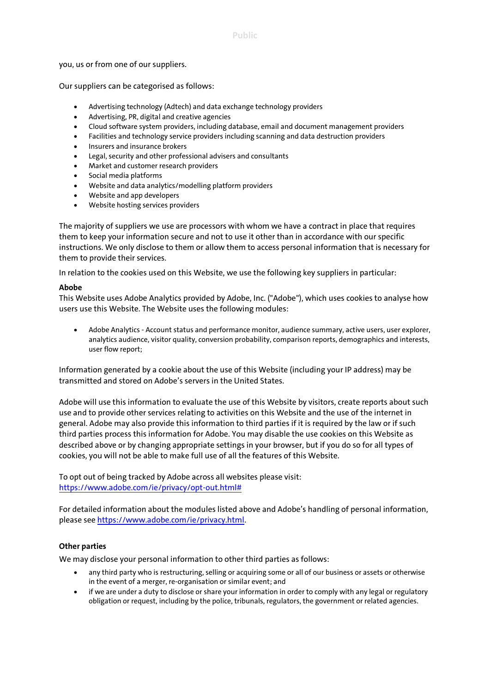you, us or from one of our suppliers.

Our suppliers can be categorised as follows:

- Advertising technology (Adtech) and data exchange technology providers
- Advertising, PR, digital and creative agencies
- Cloud software system providers, including database, email and document management providers
- Facilities and technology service providers including scanning and data destruction providers
- Insurers and insurance brokers
- Legal, security and other professional advisers and consultants
- Market and customer research providers
- Social media platforms
- Website and data analytics/modelling platform providers
- Website and app developers
- Website hosting services providers

The majority of suppliers we use are processors with whom we have a contract in place that requires them to keep your information secure and not to use it other than in accordance with our specific instructions. We only disclose to them or allow them to access personal information that is necessary for them to provide their services.

In relation to the cookies used on this Website, we use the following key suppliers in particular:

#### **Abobe**

This Website uses Adobe Analytics provided by Adobe, Inc. ("Adobe"), which uses cookies to analyse how users use this Website. The Website uses the following modules:

 Adobe Analytics - Account status and performance monitor, audience summary, active users, user explorer, analytics audience, visitor quality, conversion probability, comparison reports, demographics and interests, user flow report;

Information generated by a cookie about the use of this Website (including your IP address) may be transmitted and stored on Adobe's servers in the United States.

Adobe will use this information to evaluate the use of this Website by visitors, create reports about such use and to provide other services relating to activities on this Website and the use of the internet in general. Adobe may also provide this information to third parties if it is required by the law or if such third parties process this information for Adobe. You may disable the use cookies on this Website as described above or by changing appropriate settings in your browser, but if you do so for all types of cookies, you will not be able to make full use of all the features of this Website.

To opt out of being tracked by Adobe across all websites please visit: [https://www.adobe.com/ie/privacy/opt-out.html#](https://www.adobe.com/ie/privacy/opt-out.html%23)

For detailed information about the modules listed above and Adobe's handling of personal information, please se[e https://www.adobe.com/ie/privacy.html.](https://www.adobe.com/ie/privacy.html)

## **Other parties**

We may disclose your personal information to other third parties as follows:

- any third party who is restructuring, selling or acquiring some or all of our business or assets or otherwise in the event of a merger, re-organisation or similar event; and
- if we are under a duty to disclose or share your information in order to comply with any legal or regulatory obligation or request, including by the police, tribunals, regulators, the government or related agencies.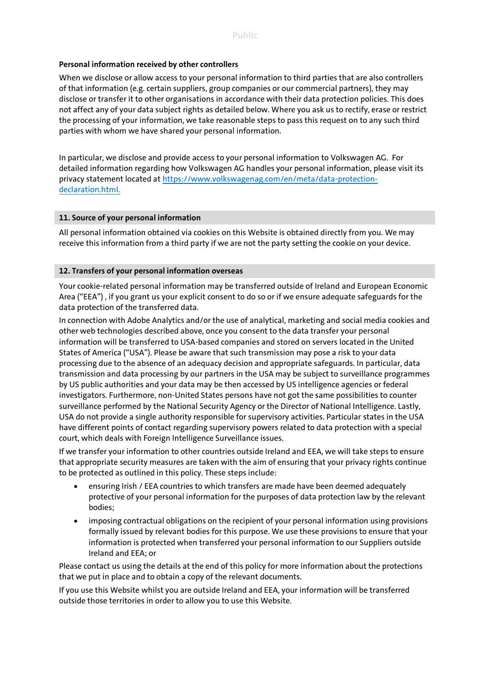## **Personal information received by other controllers**

When we disclose or allow access to your personal information to third parties that are also controllers of that information (e.g. certain suppliers, group companies or our commercial partners), they may disclose or transfer it to other organisations in accordance with their data protection policies. This does not affect any of your data subject rights as detailed below. Where you ask us to rectify, erase or restrict the processing of your information, we take reasonable steps to pass this request on to any such third parties with whom we have shared your personal information.

In particular, we disclose and provide access to your personal information to Volkswagen AG. For detailed information regarding how Volkswagen AG handles your personal information, please visit its privacy statement located at https://www.volkswagenag.com/en/meta/data-protectiondeclaration.html.

## **11. Source of your personal information**

All personal information obtained via cookies on this Website is obtained directly from you. We may receive this information from a third party if we are not the party setting the cookie on your device.

## **12. Transfers of your personal information overseas**

Your cookie-related personal information may be transferred outside of Ireland and European Economic Area ("EEA") , if you grant us your explicit consent to do so or if we ensure adequate safeguards for the data protection of the transferred data.

In connection with Adobe Analytics and/or the use of analytical, marketing and social media cookies and other web technologies described above, once you consent to the data transfer your personal information will be transferred to USA-based companies and stored on servers located in the United States of America ("USA"). Please be aware that such transmission may pose a risk to your data processing due to the absence of an adequacy decision and appropriate safeguards. In particular, data transmission and data processing by our partners in the USA may be subject to surveillance programmes by US public authorities and your data may be then accessed by US intelligence agencies or federal investigators. Furthermore, non-United States persons have not got the same possibilities to counter surveillance performed by the National Security Agency or the Director of National Intelligence. Lastly, USA do not provide a single authority responsible for supervisory activities. Particular states in the USA have different points of contact regarding supervisory powers related to data protection with a special court, which deals with Foreign Intelligence Surveillance issues.

If we transfer your information to other countries outside Ireland and EEA, we will take steps to ensure that appropriate security measures are taken with the aim of ensuring that your privacy rights continue to be protected as outlined in this policy. These steps include:

- ensuring Irish / EEA countries to which transfers are made have been deemed adequately protective of your personal information for the purposes of data protection law by the relevant bodies;
- imposing contractual obligations on the recipient of your personal information using provisions formally issued by relevant bodies for this purpose. We use these provisions to ensure that your information is protected when transferred your personal information to our Suppliers outside Ireland and EEA; or

Please contact us using the details at the end of this policy for more information about the protections that we put in place and to obtain a copy of the relevant documents.

If you use this Website whilst you are outside Ireland and EEA, your information will be transferred outside those territories in order to allow you to use this Website.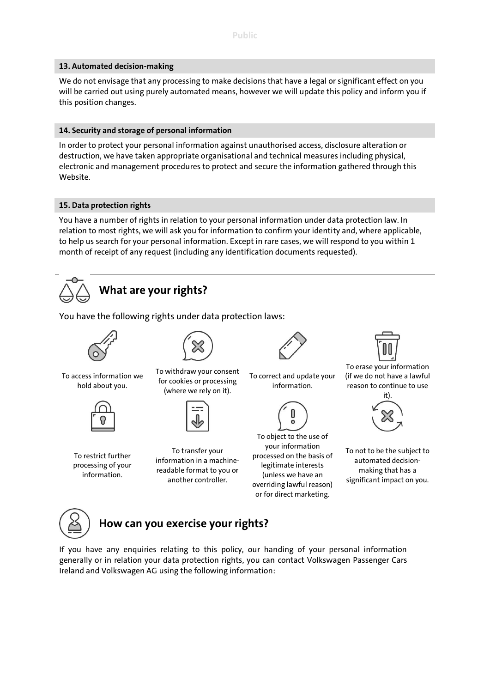## **13. Automated decision-making**

We do not envisage that any processing to make decisions that have a legal or significant effect on you will be carried out using purely automated means, however we will update this policy and inform you if this position changes.

## **14. Security and storage of personal information**

In order to protect your personal information against unauthorised access, disclosure alteration or destruction, we have taken appropriate organisational and technical measures including physical, electronic and management procedures to protect and secure the information gathered through this Website.

## **15. Data protection rights**

You have a number of rights in relation to your personal information under data protection law. In relation to most rights, we will ask you for information to confirm your identity and, where applicable, to help us search for your personal information. Except in rare cases, we will respond to you within 1 month of receipt of any request (including any identification documents requested).



# **What are your rights?**

You have the following rights under data protection laws:



To access information we hold about you.



To withdraw your consent for cookies or processing (where we rely on it).



To restrict further processing of your information.

To transfer your information in a machinereadable format to you or another controller.



To correct and update your information.



To object to the use of your information processed on the basis of legitimate interests (unless we have an overriding lawful reason) or for direct marketing.



To erase your information (if we do not have a lawful reason to continue to use



To not to be the subject to automated decisionmaking that has a significant impact on you.



# **How can you exercise your rights?**

If you have any enquiries relating to this policy, our handing of your personal information generally or in relation your data protection rights, you can contact Volkswagen Passenger Cars Ireland and Volkswagen AG using the following information: